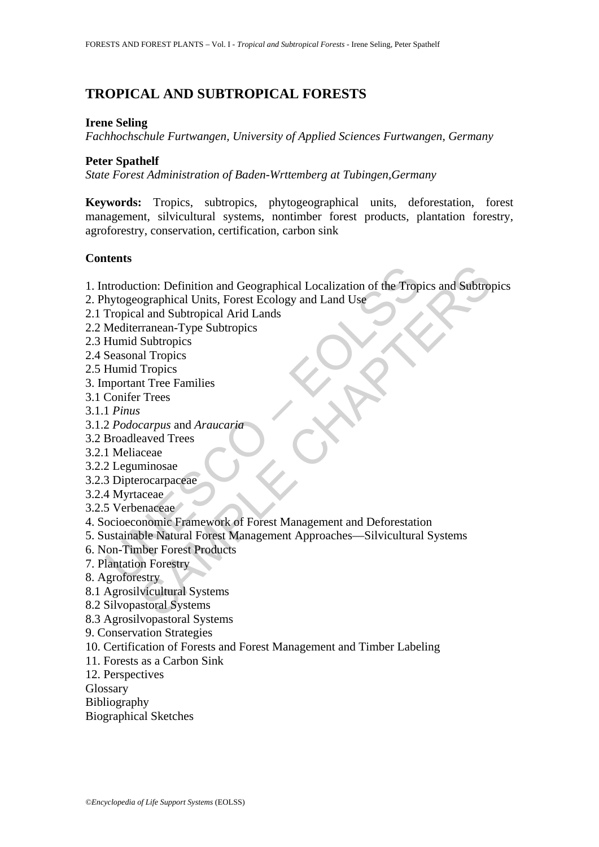# **TROPICAL AND SUBTROPICAL FORESTS**

#### **Irene Seling**

*Fachhochschule Furtwangen, University of Applied Sciences Furtwangen, Germany* 

### **Peter Spathelf**

*State Forest Administration of Baden-Wrttemberg at Tubingen,Germany* 

**Keywords:** Tropics, subtropics, phytogeographical units, deforestation, forest management, silvicultural systems, nontimber forest products, plantation forestry, agroforestry, conservation, certification, carbon sink

# **Contents**

tion: Definition and Geographical Localization of the Tropics and Subtrop<br>ographical Units, Forest Ecology and Land Use<br>al and Subtropics<br>al and Subtropics<br>Subtropics<br>Subtropics<br>Subtropics<br>Tropics<br>Tropics<br>Tropics<br>or Trees<br> 1. Introduction: Definition and Geographical Localization of the Tropics and Subtropics

- 2. Phytogeographical Units, Forest Ecology and Land Use
- 2.1 Tropical and Subtropical Arid Lands
- 2.2 Mediterranean-Type Subtropics

2.3 Humid Subtropics

- 2.4 Seasonal Tropics
- 2.5 Humid Tropics
- 3. Important Tree Families
- 3.1 Conifer Trees
- 3.1.1 *Pinus*
- 3.1.2 *Podocarpus* and *Araucaria*
- 3.2 Broadleaved Trees
- 3.2.1 Meliaceae
- 3.2.2 Leguminosae
- 3.2.3 Dipterocarpaceae
- 3.2.4 Myrtaceae
- 3.2.5 Verbenaceae
- ntroduction: Definition and Geographical Localization of the Trop<br>hytogeographical Units, Forest Ecology and Land Use<br>Tropical and Subtropical Arid Lands<br>Mediterranean-Type Subtropics<br>Humid Subtropics<br>Fumid Tropics<br>Seasona 4. Socioeconomic Framework of Forest Management and Deforestation
- 5. Sustainable Natural Forest Management Approaches—Silvicultural Systems
- 6. Non-Timber Forest Products
- 7. Plantation Forestry
- 8. Agroforestry
- 8.1 Agrosilvicultural Systems
- 8.2 Silvopastoral Systems
- 8.3 Agrosilvopastoral Systems
- 9. Conservation Strategies
- 10. Certification of Forests and Forest Management and Timber Labeling
- 11. Forests as a Carbon Sink
- 12. Perspectives
- Glossary
- Bibliography
- Biographical Sketches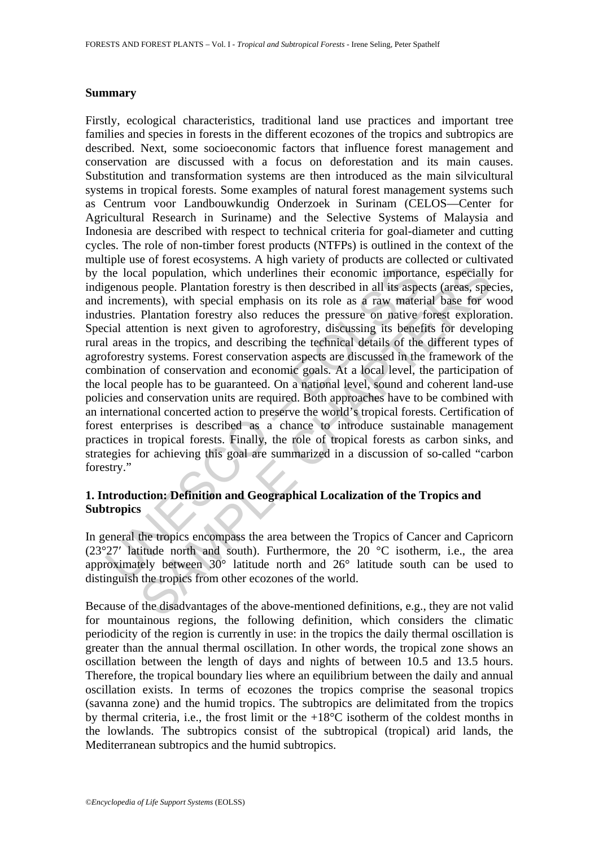#### **Summary**

The local population, which underlines their economic important phe local population, which underlines their economic important genous people. Plantation forestry is then described in all its aspectives the pressure on th al population, which underlines their economic importance, especially people. Plantation forestry is then described in all its aspects (areas, specially people. Plantation forestry is then described in all its aspects (ar Firstly, ecological characteristics, traditional land use practices and important tree families and species in forests in the different ecozones of the tropics and subtropics are described. Next, some socioeconomic factors that influence forest management and conservation are discussed with a focus on deforestation and its main causes. Substitution and transformation systems are then introduced as the main silvicultural systems in tropical forests. Some examples of natural forest management systems such as Centrum voor Landbouwkundig Onderzoek in Surinam (CELOS—Center for Agricultural Research in Suriname) and the Selective Systems of Malaysia and Indonesia are described with respect to technical criteria for goal-diameter and cutting cycles. The role of non-timber forest products (NTFPs) is outlined in the context of the multiple use of forest ecosystems. A high variety of products are collected or cultivated by the local population, which underlines their economic importance, especially for indigenous people. Plantation forestry is then described in all its aspects (areas, species, and increments), with special emphasis on its role as a raw material base for wood industries. Plantation forestry also reduces the pressure on native forest exploration. Special attention is next given to agroforestry, discussing its benefits for developing rural areas in the tropics, and describing the technical details of the different types of agroforestry systems. Forest conservation aspects are discussed in the framework of the combination of conservation and economic goals. At a local level, the participation of the local people has to be guaranteed. On a national level, sound and coherent land-use policies and conservation units are required. Both approaches have to be combined with an international concerted action to preserve the world's tropical forests. Certification of forest enterprises is described as a chance to introduce sustainable management practices in tropical forests. Finally, the role of tropical forests as carbon sinks, and strategies for achieving this goal are summarized in a discussion of so-called "carbon forestry."

# **1. Introduction: Definition and Geographical Localization of the Tropics and Subtropics**

In general the tropics encompass the area between the Tropics of Cancer and Capricorn  $(23°27'$  latitude north and south). Furthermore, the 20  $^{\circ}$ C isotherm, i.e., the area approximately between 30° latitude north and 26° latitude south can be used to distinguish the tropics from other ecozones of the world.

Because of the disadvantages of the above-mentioned definitions, e.g., they are not valid for mountainous regions, the following definition, which considers the climatic periodicity of the region is currently in use: in the tropics the daily thermal oscillation is greater than the annual thermal oscillation. In other words, the tropical zone shows an oscillation between the length of days and nights of between 10.5 and 13.5 hours. Therefore, the tropical boundary lies where an equilibrium between the daily and annual oscillation exists. In terms of ecozones the tropics comprise the seasonal tropics (savanna zone) and the humid tropics. The subtropics are delimitated from the tropics by thermal criteria, i.e., the frost limit or the  $+18^{\circ}$ C isotherm of the coldest months in the lowlands. The subtropics consist of the subtropical (tropical) arid lands, the Mediterranean subtropics and the humid subtropics.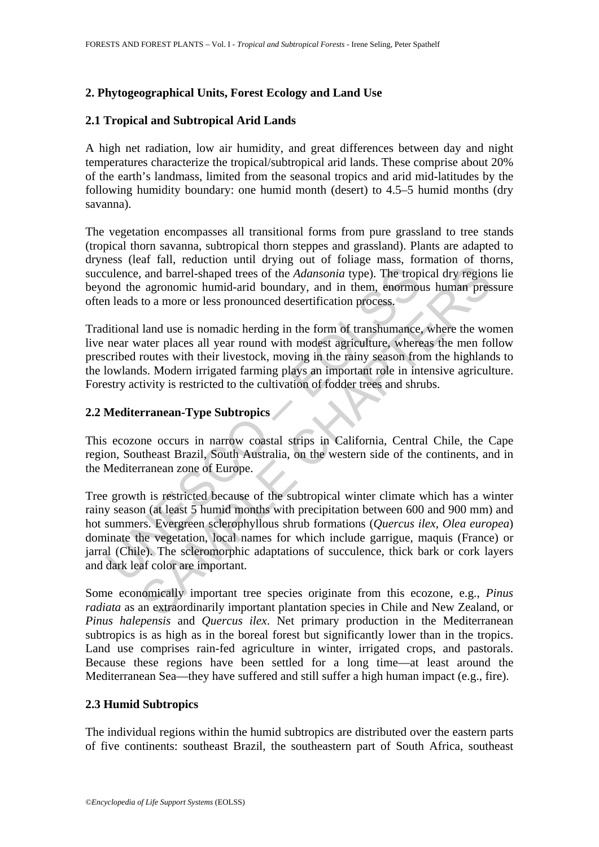# **2. Phytogeographical Units, Forest Ecology and Land Use**

# **2.1 Tropical and Subtropical Arid Lands**

A high net radiation, low air humidity, and great differences between day and night temperatures characterize the tropical/subtropical arid lands. These comprise about 20% of the earth's landmass, limited from the seasonal tropics and arid mid-latitudes by the following humidity boundary: one humid month (desert) to 4.5–5 humid months (dry savanna).

The vegetation encompasses all transitional forms from pure grassland to tree stands (tropical thorn savanna, subtropical thorn steppes and grassland). Plants are adapted to dryness (leaf fall, reduction until drying out of foliage mass, formation of thorns, succulence, and barrel-shaped trees of the *Adansonia* type). The tropical dry regions lie beyond the agronomic humid-arid boundary, and in them, enormous human pressure often leads to a more or less pronounced desertification process.

Traditional land use is nomadic herding in the form of transhumance, where the women live near water places all year round with modest agriculture, whereas the men follow prescribed routes with their livestock, moving in the rainy season from the highlands to the lowlands. Modern irrigated farming plays an important role in intensive agriculture. Forestry activity is restricted to the cultivation of fodder trees and shrubs.

# **2.2 Mediterranean-Type Subtropics**

This ecozone occurs in narrow coastal strips in California, Central Chile, the Cape region, Southeast Brazil, South Australia, on the western side of the continents, and in the Mediterranean zone of Europe.

relation and barrel-shaped trees of the *Adansonia* type). The trop ond the agronomic humid-arid boundary, and in them, enormon leads to a more or less pronounced desertification process.<br>
ditional land use is nomadic herd and a real continuous and a signing of the *Adansonia* type). The tropical dry region agronomic humid-arid boundary, and in them, enormous human pres to a more or less pronounced desertification process.<br>
land use is noma Tree growth is restricted because of the subtropical winter climate which has a winter rainy season (at least 5 humid months with precipitation between 600 and 900 mm) and hot summers. Evergreen sclerophyllous shrub formations (*Quercus ilex, Olea europea*) dominate the vegetation, local names for which include garrigue, maquis (France) or jarral (Chile). The scleromorphic adaptations of succulence, thick bark or cork layers and dark leaf color are important.

Some economically important tree species originate from this ecozone, e.g., *Pinus radiata* as an extraordinarily important plantation species in Chile and New Zealand, or *Pinus halepensis* and *Quercus ilex*. Net primary production in the Mediterranean subtropics is as high as in the boreal forest but significantly lower than in the tropics. Land use comprises rain-fed agriculture in winter, irrigated crops, and pastorals. Because these regions have been settled for a long time—at least around the Mediterranean Sea—they have suffered and still suffer a high human impact (e.g., fire).

#### **2.3 Humid Subtropics**

The individual regions within the humid subtropics are distributed over the eastern parts of five continents: southeast Brazil, the southeastern part of South Africa, southeast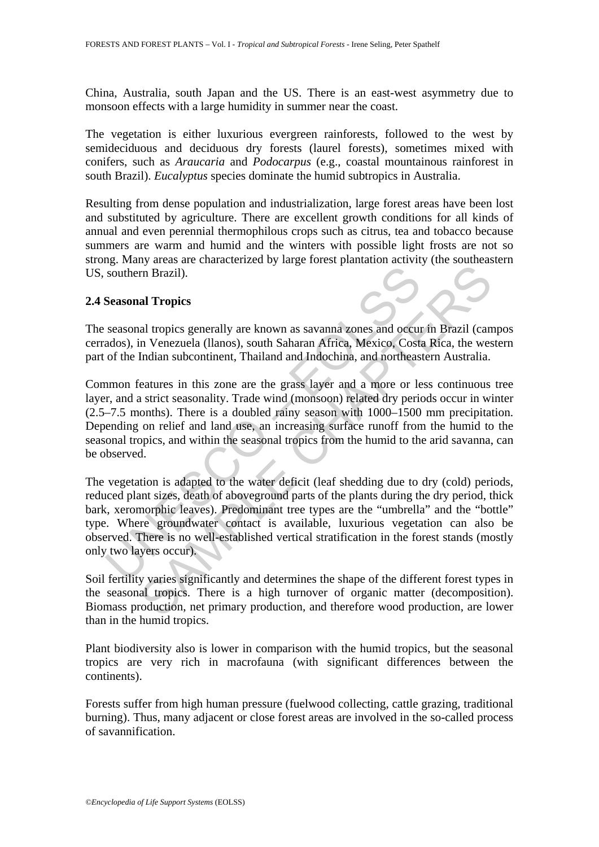China, Australia, south Japan and the US. There is an east-west asymmetry due to monsoon effects with a large humidity in summer near the coast.

The vegetation is either luxurious evergreen rainforests, followed to the west by semideciduous and deciduous dry forests (laurel forests), sometimes mixed with conifers, such as *Araucaria* and *Podocarpus* (e.g., coastal mountainous rainforest in south Brazil). *Eucalyptus* species dominate the humid subtropics in Australia.

Resulting from dense population and industrialization, large forest areas have been lost and substituted by agriculture. There are excellent growth conditions for all kinds of annual and even perennial thermophilous crops such as citrus, tea and tobacco because summers are warm and humid and the winters with possible light frosts are not so strong. Many areas are characterized by large forest plantation activity (the southeastern US, southern Brazil).

### **2.4 Seasonal Tropics**

The seasonal tropics generally are known as savanna zones and occur in Brazil (campos cerrados), in Venezuela (llanos), south Saharan Africa, Mexico, Costa Rica, the western part of the Indian subcontinent, Thailand and Indochina, and northeastern Australia.

southern Brazil).<br>
Seasonal Tropics<br>
seasonal tropics generally are known as savanna zones and occure<br>
ados), in Venezuela (llanos), south Saharan Africa, Mexico, Cost<br>
of the Indian subcontinent, Thailand and Indochina, a In Brazil).<br>
In Brazil).<br>
In Tropics<br>
In Tropics<br>
In Tropics<br>
In Tenezuela (Ilanos), south Saharan Africa, Mexico, Costa Rica, the west<br>
Indian subcontinent, Thailand and Indochina, and northeastern Australia.<br>
Features in Common features in this zone are the grass layer and a more or less continuous tree layer, and a strict seasonality. Trade wind (monsoon) related dry periods occur in winter (2.5–7.5 months). There is a doubled rainy season with 1000–1500 mm precipitation. Depending on relief and land use, an increasing surface runoff from the humid to the seasonal tropics, and within the seasonal tropics from the humid to the arid savanna, can be observed.

The vegetation is adapted to the water deficit (leaf shedding due to dry (cold) periods, reduced plant sizes, death of aboveground parts of the plants during the dry period, thick bark, xeromorphic leaves). Predominant tree types are the "umbrella" and the "bottle" type. Where groundwater contact is available, luxurious vegetation can also be observed. There is no well-established vertical stratification in the forest stands (mostly only two layers occur).

Soil fertility varies significantly and determines the shape of the different forest types in the seasonal tropics. There is a high turnover of organic matter (decomposition). Biomass production, net primary production, and therefore wood production, are lower than in the humid tropics.

Plant biodiversity also is lower in comparison with the humid tropics, but the seasonal tropics are very rich in macrofauna (with significant differences between the continents).

Forests suffer from high human pressure (fuelwood collecting, cattle grazing, traditional burning). Thus, many adjacent or close forest areas are involved in the so-called process of savannification.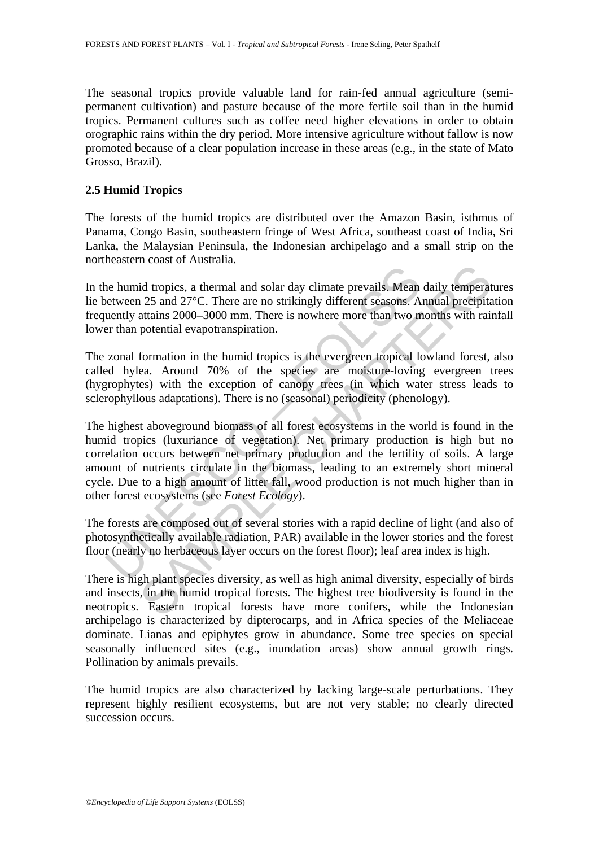The seasonal tropics provide valuable land for rain-fed annual agriculture (semipermanent cultivation) and pasture because of the more fertile soil than in the humid tropics. Permanent cultures such as coffee need higher elevations in order to obtain orographic rains within the dry period. More intensive agriculture without fallow is now promoted because of a clear population increase in these areas (e.g., in the state of Mato Grosso, Brazil).

### **2.5 Humid Tropics**

The forests of the humid tropics are distributed over the Amazon Basin, isthmus of Panama, Congo Basin, southeastern fringe of West Africa, southeast coast of India, Sri Lanka, the Malaysian Peninsula, the Indonesian archipelago and a small strip on the northeastern coast of Australia.

In the humid tropics, a thermal and solar day climate prevails. Mean daily temperatures lie between 25 and 27°C. There are no strikingly different seasons. Annual precipitation frequently attains 2000–3000 mm. There is nowhere more than two months with rainfall lower than potential evapotranspiration.

The zonal formation in the humid tropics is the evergreen tropical lowland forest, also called hylea. Around 70% of the species are moisture-loving evergreen trees (hygrophytes) with the exception of canopy trees (in which water stress leads to sclerophyllous adaptations). There is no (seasonal) periodicity (phenology).

he humid tropics, a thermal and solar day climate prevails. Mean<br>etween 25 and 27°C. There are no strikingly different seasons. A<br>uently attains 2000–3000 mm. There is nowhere more than two m<br>er than potential evapotransp id tropics, a thermal and solar day climate prevails. Mean daily temperated tropics, a thermal and solar day climate prevails. Mean daily temperated at a 27°C. There are no strikingly different seasons. Annual precipita at The highest aboveground biomass of all forest ecosystems in the world is found in the humid tropics (luxuriance of vegetation). Net primary production is high but no correlation occurs between net primary production and the fertility of soils. A large amount of nutrients circulate in the biomass, leading to an extremely short mineral cycle. Due to a high amount of litter fall, wood production is not much higher than in other forest ecosystems (see *Forest Ecology*).

The forests are composed out of several stories with a rapid decline of light (and also of photosynthetically available radiation, PAR) available in the lower stories and the forest floor (nearly no herbaceous layer occurs on the forest floor); leaf area index is high.

There is high plant species diversity, as well as high animal diversity, especially of birds and insects, in the humid tropical forests. The highest tree biodiversity is found in the neotropics. Eastern tropical forests have more conifers, while the Indonesian archipelago is characterized by dipterocarps, and in Africa species of the Meliaceae dominate. Lianas and epiphytes grow in abundance. Some tree species on special seasonally influenced sites (e.g., inundation areas) show annual growth rings. Pollination by animals prevails.

The humid tropics are also characterized by lacking large-scale perturbations. They represent highly resilient ecosystems, but are not very stable; no clearly directed succession occurs.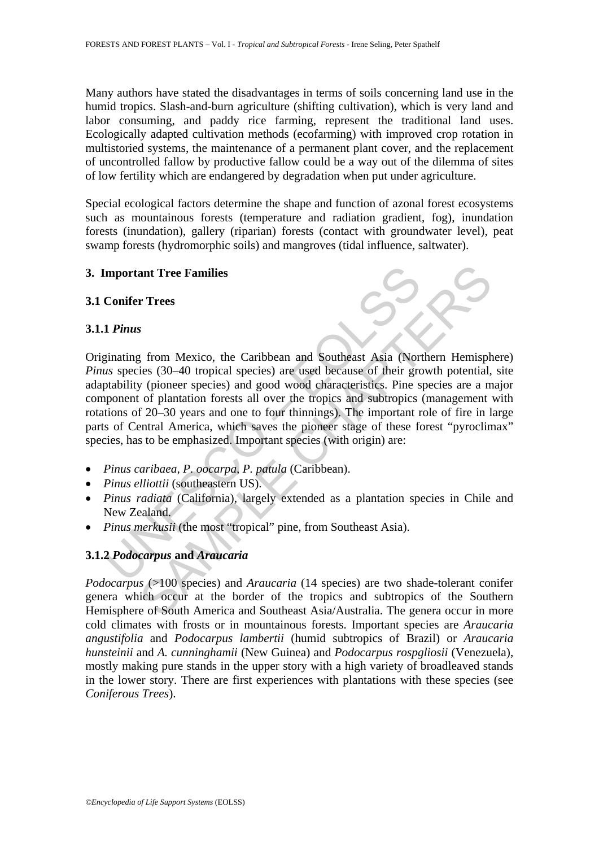Many authors have stated the disadvantages in terms of soils concerning land use in the humid tropics. Slash-and-burn agriculture (shifting cultivation), which is very land and labor consuming, and paddy rice farming, represent the traditional land uses. Ecologically adapted cultivation methods (ecofarming) with improved crop rotation in multistoried systems, the maintenance of a permanent plant cover, and the replacement of uncontrolled fallow by productive fallow could be a way out of the dilemma of sites of low fertility which are endangered by degradation when put under agriculture.

Special ecological factors determine the shape and function of azonal forest ecosystems such as mountainous forests (temperature and radiation gradient, fog), inundation forests (inundation), gallery (riparian) forests (contact with groundwater level), peat swamp forests (hydromorphic soils) and mangroves (tidal influence, saltwater).

### **3. Important Tree Families**

### **3.1 Conifer Trees**

### **3.1.1** *Pinus*

mportant Tree Families<br>
Conifer Trees<br>
1 Pinus<br>
1 Pinus<br>
1 Pinus<br>
1 Pinus<br>
1 Pinus<br>
1 Conserved (30–40 tropical species) are used because of their grotability<br>
1 (pioneer species) and good wood characteristics. Pine<br>
1 pio **ant Tree Families**<br> **Example 18**<br> **Example 18**<br> **Example 18**<br> **Example 18**<br> **Example 18**<br> **Example 18**<br> **Example 19**<br> **Example 19**<br> **Example 19**<br> **Example 19**<br> **EX**<br> **EX**<br> **EX**<br> **EX**<br> **EX**<br> **EX**<br> **EX**<br> **EX**<br> **EX**<br> **EX**<br> Originating from Mexico, the Caribbean and Southeast Asia (Northern Hemisphere) *Pinus* species (30–40 tropical species) are used because of their growth potential, site adaptability (pioneer species) and good wood characteristics. Pine species are a major component of plantation forests all over the tropics and subtropics (management with rotations of 20–30 years and one to four thinnings). The important role of fire in large parts of Central America, which saves the pioneer stage of these forest "pyroclimax" species, has to be emphasized. Important species (with origin) are:

- *Pinus caribaea, P. oocarpa, P. patula* (Caribbean).
- *Pinus elliottii* (southeastern US).
- *Pinus radiata* (California), largely extended as a plantation species in Chile and New Zealand.
- *Pinus merkusii* (the most "tropical" pine, from Southeast Asia).

# **3.1.2** *Podocarpus* **and** *Araucaria*

*Podocarpus* (>100 species) and *Araucaria* (14 species) are two shade-tolerant conifer genera which occur at the border of the tropics and subtropics of the Southern Hemisphere of South America and Southeast Asia/Australia. The genera occur in more cold climates with frosts or in mountainous forests. Important species are *Araucaria angustifolia* and *Podocarpus lambertii* (humid subtropics of Brazil) or *Araucaria hunsteinii* and *A. cunninghamii* (New Guinea) and *Podocarpus rospgliosii* (Venezuela), mostly making pure stands in the upper story with a high variety of broadleaved stands in the lower story. There are first experiences with plantations with these species (see *Coniferous Trees*).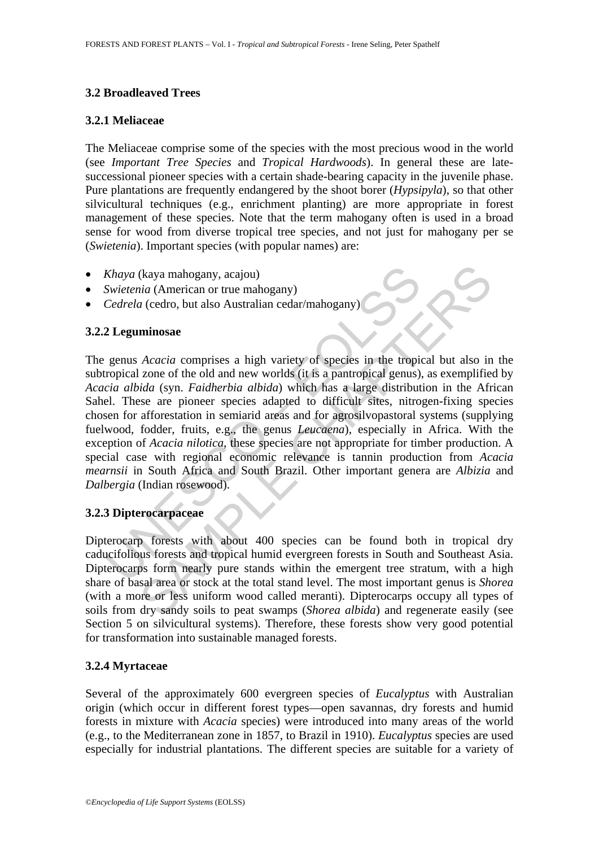# **3.2 Broadleaved Trees**

# **3.2.1 Meliaceae**

The Meliaceae comprise some of the species with the most precious wood in the world (see *Important Tree Species* and *Tropical Hardwoods*). In general these are latesuccessional pioneer species with a certain shade-bearing capacity in the juvenile phase. Pure plantations are frequently endangered by the shoot borer (*Hypsipyla*), so that other silvicultural techniques (e.g., enrichment planting) are more appropriate in forest management of these species. Note that the term mahogany often is used in a broad sense for wood from diverse tropical tree species, and not just for mahogany per se (*Swietenia*). Important species (with popular names) are:

- *Khaya* (kaya mahogany, acajou)
- *Swietenia* (American or true mahogany)
- *Cedrela* (cedro, but also Australian cedar/mahogany)

### **3.2.2 Leguminosae**

Xhaya (kaya mahogany, acajou)<br>
Swietenia (American or true mahogany)<br>
Cedrela (cedro, but also Australian cedar/mahogany)<br>
2 Leguminosae<br>
genus Acacia comprises a high variety of species in the tropi<br>
ropical zone of the o (kaya mahogany, acajou)<br>
ida (American or true mahogany)<br>
ida (American or true mahogany)<br>
a (cedro, but also Australian cedar/mahogany)<br> **minosae**<br>
Acacia comprises a high variety of species in the tropical but also in<br> The genus *Acacia* comprises a high variety of species in the tropical but also in the subtropical zone of the old and new worlds (it is a pantropical genus), as exemplified by *Acacia albida* (syn. *Faidherbia albida*) which has a large distribution in the African Sahel. These are pioneer species adapted to difficult sites, nitrogen-fixing species chosen for afforestation in semiarid areas and for agrosilvopastoral systems (supplying fuelwood, fodder, fruits, e.g., the genus *Leucaena*), especially in Africa. With the exception of *Acacia nilotica*, these species are not appropriate for timber production. A special case with regional economic relevance is tannin production from *Acacia mearnsii* in South Africa and South Brazil. Other important genera are *Albizia* and *Dalbergia* (Indian rosewood).

### **3.2.3 Dipterocarpaceae**

Dipterocarp forests with about 400 species can be found both in tropical dry caducifolious forests and tropical humid evergreen forests in South and Southeast Asia. Dipterocarps form nearly pure stands within the emergent tree stratum, with a high share of basal area or stock at the total stand level. The most important genus is *Shorea* (with a more or less uniform wood called meranti). Dipterocarps occupy all types of soils from dry sandy soils to peat swamps (*Shorea albida*) and regenerate easily (see Section 5 on silvicultural systems). Therefore, these forests show very good potential for transformation into sustainable managed forests.

# **3.2.4 Myrtaceae**

Several of the approximately 600 evergreen species of *Eucalyptus* with Australian origin (which occur in different forest types—open savannas, dry forests and humid forests in mixture with *Acacia* species) were introduced into many areas of the world (e.g., to the Mediterranean zone in 1857, to Brazil in 1910). *Eucalyptus* species are used especially for industrial plantations. The different species are suitable for a variety of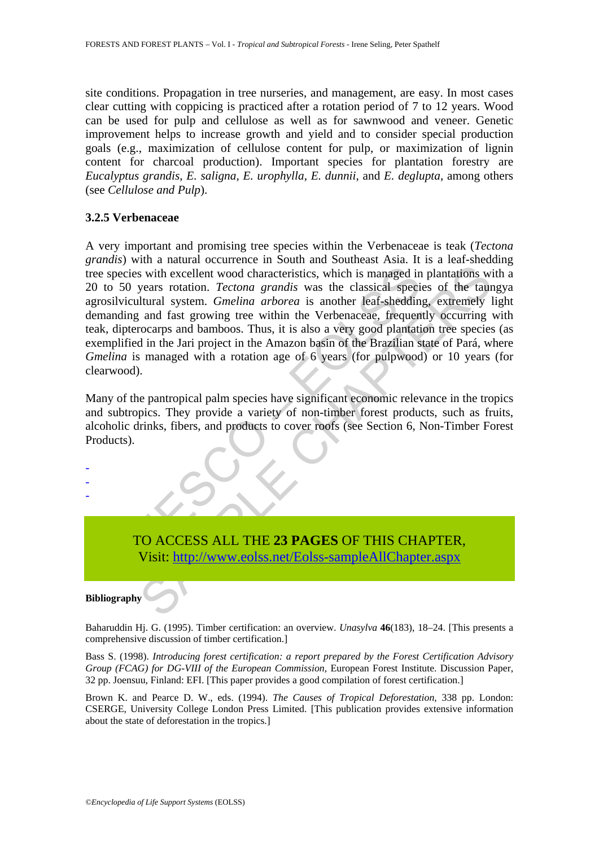site conditions. Propagation in tree nurseries, and management, are easy. In most cases clear cutting with coppicing is practiced after a rotation period of 7 to 12 years. Wood can be used for pulp and cellulose as well as for sawnwood and veneer. Genetic improvement helps to increase growth and yield and to consider special production goals (e.g., maximization of cellulose content for pulp, or maximization of lignin content for charcoal production). Important species for plantation forestry are *Eucalyptus grandis*, *E. saligna, E. urophylla, E. dunnii*, and *E. deglupta*, among others (see *Cellulose and Pulp*).

#### **3.2.5 Verbenaceae**

species with excellent wood characteristics, which is managed in<br>to 50 years rotation. *Tectona grandis* was the classical specialization of the simulation of *melina arborea* is another leaf-sheddin<br>anding and fast growin is with excellent wood characteristics, which is managed in plantations with excellent wood characteristics, which is managed in plantations with excellent wood characteristics, which is managed in plantations with excelle A very important and promising tree species within the Verbenaceae is teak (*Tectona grandis*) with a natural occurrence in South and Southeast Asia. It is a leaf-shedding tree species with excellent wood characteristics, which is managed in plantations with a 20 to 50 years rotation. *Tectona grandis* was the classical species of the taungya agrosilvicultural system. *Gmelina arborea* is another leaf-shedding, extremely light demanding and fast growing tree within the Verbenaceae, frequently occurring with teak, dipterocarps and bamboos. Thus, it is also a very good plantation tree species (as exemplified in the Jari project in the Amazon basin of the Brazilian state of Pará, where *Gmelina* is managed with a rotation age of 6 years (for pulpwood) or 10 years (for clearwood).

Many of the pantropical palm species have significant economic relevance in the tropics and subtropics. They provide a variety of non-timber forest products, such as fruits, alcoholic drinks, fibers, and products to cover roofs (see Section 6, Non-Timber Forest Products).

- - -

> TO ACCESS ALL THE **23 PAGES** OF THIS CHAPTER, Visit: http://www.eolss.net/Eolss-sampleAllChapter.aspx

#### **Bibliography**

Baharuddin Hj. G. (1995). Timber certification: an overview. *Unasylva* **46**(183), 18–24. [This presents a comprehensive discussion of timber certification.]

Bass S. (1998). *Introducing forest certification: a report prepared by the Forest Certification Advisory Group (FCAG) for DG-VIII of the European Commission*, European Forest Institute. Discussion Paper, 32 pp. Joensuu, Finland: EFI. [This paper provides a good compilation of forest certification.]

Brown K. and Pearce D. W., eds. (1994). *The Causes of Tropical Deforestation,* 338 pp. London: CSERGE, University College London Press Limited. [This publication provides extensive information about the state of deforestation in the tropics.]